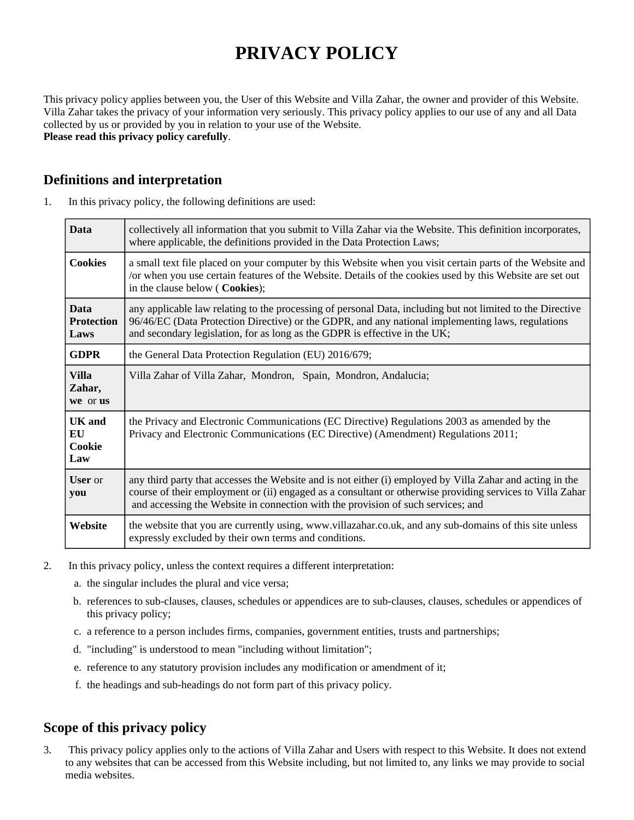# **PRIVACY POLICY**

This privacy policy applies between you, the User of this Website and Villa Zahar, the owner and provider of this Website. Villa Zahar takes the privacy of your information very seriously. This privacy policy applies to our use of any and all Data collected by us or provided by you in relation to your use of the Website. **Please read this privacy policy carefully**.

### **Definitions and interpretation**

| 1. | In this privacy policy, the following definitions are used: |  |  |  |  |
|----|-------------------------------------------------------------|--|--|--|--|
|----|-------------------------------------------------------------|--|--|--|--|

| <b>Data</b>                              | collectively all information that you submit to Villa Zahar via the Website. This definition incorporates,<br>where applicable, the definitions provided in the Data Protection Laws;                                                                                                                      |  |
|------------------------------------------|------------------------------------------------------------------------------------------------------------------------------------------------------------------------------------------------------------------------------------------------------------------------------------------------------------|--|
| <b>Cookies</b>                           | a small text file placed on your computer by this Website when you visit certain parts of the Website and<br>or when you use certain features of the Website. Details of the cookies used by this Website are set out<br>in the clause below (Cookies);                                                    |  |
| <b>Data</b><br><b>Protection</b><br>Laws | any applicable law relating to the processing of personal Data, including but not limited to the Directive<br>96/46/EC (Data Protection Directive) or the GDPR, and any national implementing laws, regulations<br>and secondary legislation, for as long as the GDPR is effective in the UK;              |  |
| <b>GDPR</b>                              | the General Data Protection Regulation (EU) 2016/679;                                                                                                                                                                                                                                                      |  |
| <b>Villa</b><br>Zahar,<br>we or us       | Villa Zahar of Villa Zahar, Mondron, Spain, Mondron, Andalucia;                                                                                                                                                                                                                                            |  |
| <b>UK</b> and<br>EU<br>Cookie<br>Law     | the Privacy and Electronic Communications (EC Directive) Regulations 2003 as amended by the<br>Privacy and Electronic Communications (EC Directive) (Amendment) Regulations 2011;                                                                                                                          |  |
| <b>User</b> or<br>you                    | any third party that accesses the Website and is not either (i) employed by Villa Zahar and acting in the<br>course of their employment or (ii) engaged as a consultant or otherwise providing services to Villa Zahar<br>and accessing the Website in connection with the provision of such services; and |  |
| Website                                  | the website that you are currently using, www.villazahar.co.uk, and any sub-domains of this site unless<br>expressly excluded by their own terms and conditions.                                                                                                                                           |  |

- 2. In this privacy policy, unless the context requires a different interpretation:
	- a. the singular includes the plural and vice versa;
	- b. references to sub-clauses, clauses, schedules or appendices are to sub-clauses, clauses, schedules or appendices of this privacy policy;
	- c. a reference to a person includes firms, companies, government entities, trusts and partnerships;
	- d. "including" is understood to mean "including without limitation";
	- e. reference to any statutory provision includes any modification or amendment of it;
	- f. the headings and sub-headings do not form part of this privacy policy.

# **Scope of this privacy policy**

3. This privacy policy applies only to the actions of Villa Zahar and Users with respect to this Website. It does not extend to any websites that can be accessed from this Website including, but not limited to, any links we may provide to social media websites.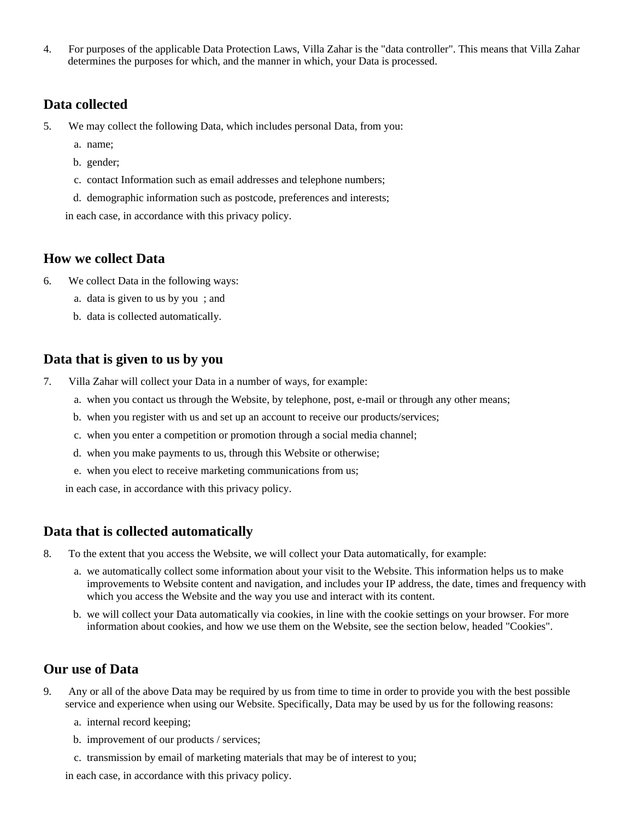4. For purposes of the applicable Data Protection Laws, Villa Zahar is the "data controller". This means that Villa Zahar determines the purposes for which, and the manner in which, your Data is processed.

#### **Data collected**

- 5. We may collect the following Data, which includes personal Data, from you:
	- a. name;
	- b. gender;
	- c. contact Information such as email addresses and telephone numbers;
	- d. demographic information such as postcode, preferences and interests;

in each case, in accordance with this privacy policy.

#### **How we collect Data**

- 6. We collect Data in the following ways:
	- a. data is given to us by you ; and
	- b. data is collected automatically.

#### **Data that is given to us by you**

- 7. Villa Zahar will collect your Data in a number of ways, for example:
	- a. when you contact us through the Website, by telephone, post, e-mail or through any other means;
	- b. when you register with us and set up an account to receive our products/services;
	- c. when you enter a competition or promotion through a social media channel;
	- d. when you make payments to us, through this Website or otherwise;
	- e. when you elect to receive marketing communications from us;

in each case, in accordance with this privacy policy.

#### **Data that is collected automatically**

- 8. To the extent that you access the Website, we will collect your Data automatically, for example:
	- a. we automatically collect some information about your visit to the Website. This information helps us to make improvements to Website content and navigation, and includes your IP address, the date, times and frequency with which you access the Website and the way you use and interact with its content.
	- b. we will collect your Data automatically via cookies, in line with the cookie settings on your browser. For more information about cookies, and how we use them on the Website, see the section below, headed "Cookies".

#### **Our use of Data**

- 9. Any or all of the above Data may be required by us from time to time in order to provide you with the best possible service and experience when using our Website. Specifically, Data may be used by us for the following reasons:
	- a. internal record keeping;
	- b. improvement of our products / services;
	- c. transmission by email of marketing materials that may be of interest to you;

in each case, in accordance with this privacy policy.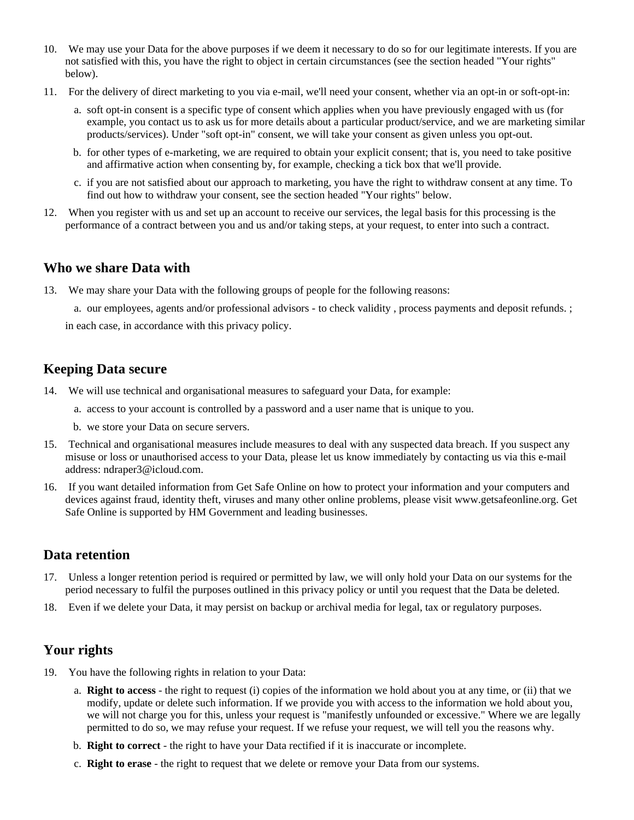- 10. We may use your Data for the above purposes if we deem it necessary to do so for our legitimate interests. If you are not satisfied with this, you have the right to object in certain circumstances (see the section headed "Your rights" below).
- 11. For the delivery of direct marketing to you via e-mail, we'll need your consent, whether via an opt-in or soft-opt-in:
	- a. soft opt-in consent is a specific type of consent which applies when you have previously engaged with us (for example, you contact us to ask us for more details about a particular product/service, and we are marketing similar products/services). Under "soft opt-in" consent, we will take your consent as given unless you opt-out.
	- b. for other types of e-marketing, we are required to obtain your explicit consent; that is, you need to take positive and affirmative action when consenting by, for example, checking a tick box that we'll provide.
	- c. if you are not satisfied about our approach to marketing, you have the right to withdraw consent at any time. To find out how to withdraw your consent, see the section headed "Your rights" below.
- 12. When you register with us and set up an account to receive our services, the legal basis for this processing is the performance of a contract between you and us and/or taking steps, at your request, to enter into such a contract.

#### **Who we share Data with**

13. We may share your Data with the following groups of people for the following reasons:

a. our employees, agents and/or professional advisors - to check validity , process payments and deposit refunds. ;

in each case, in accordance with this privacy policy.

# **Keeping Data secure**

- 14. We will use technical and organisational measures to safeguard your Data, for example:
	- a. access to your account is controlled by a password and a user name that is unique to you.
	- b. we store your Data on secure servers.
- 15. Technical and organisational measures include measures to deal with any suspected data breach. If you suspect any misuse or loss or unauthorised access to your Data, please let us know immediately by contacting us via this e-mail address: ndraper3@icloud.com.
- 16. If you want detailed information from Get Safe Online on how to protect your information and your computers and devices against fraud, identity theft, viruses and many other online problems, please visit www.getsafeonline.org. Get Safe Online is supported by HM Government and leading businesses.

#### **Data retention**

- 17. Unless a longer retention period is required or permitted by law, we will only hold your Data on our systems for the period necessary to fulfil the purposes outlined in this privacy policy or until you request that the Data be deleted.
- 18. Even if we delete your Data, it may persist on backup or archival media for legal, tax or regulatory purposes.

# **Your rights**

- 19. You have the following rights in relation to your Data:
	- a. **Right to access** the right to request (i) copies of the information we hold about you at any time, or (ii) that we modify, update or delete such information. If we provide you with access to the information we hold about you, we will not charge you for this, unless your request is "manifestly unfounded or excessive." Where we are legally permitted to do so, we may refuse your request. If we refuse your request, we will tell you the reasons why.
	- b. **Right to correct** the right to have your Data rectified if it is inaccurate or incomplete.
	- c. **Right to erase** the right to request that we delete or remove your Data from our systems.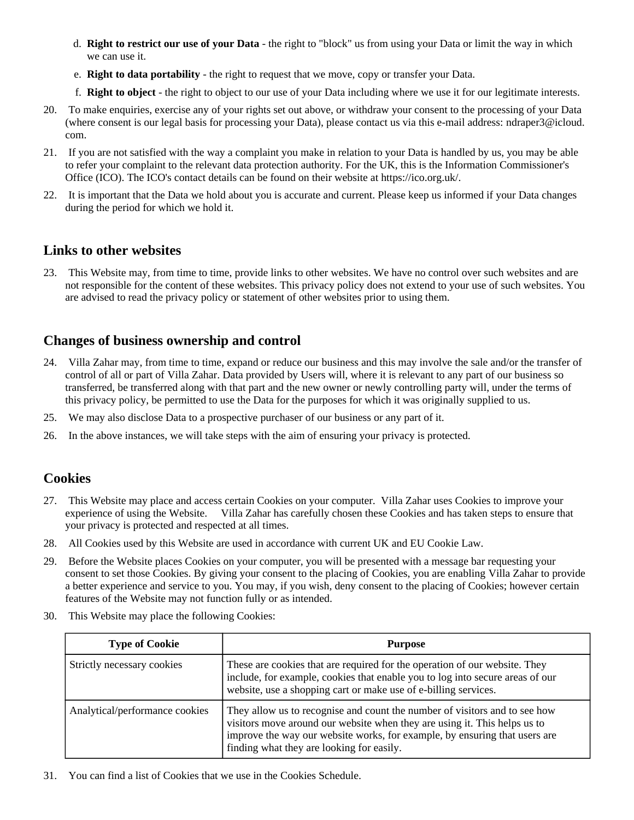- d. **Right to restrict our use of your Data** the right to "block" us from using your Data or limit the way in which we can use it.
- e. **Right to data portability** the right to request that we move, copy or transfer your Data.
- f. **Right to object** the right to object to our use of your Data including where we use it for our legitimate interests.
- 20. To make enquiries, exercise any of your rights set out above, or withdraw your consent to the processing of your Data (where consent is our legal basis for processing your Data), please contact us via this e-mail address: ndraper3@icloud. com.
- 21. If you are not satisfied with the way a complaint you make in relation to your Data is handled by us, you may be able to refer your complaint to the relevant data protection authority. For the UK, this is the Information Commissioner's Office (ICO). The ICO's contact details can be found on their website at https://ico.org.uk/.
- 22. It is important that the Data we hold about you is accurate and current. Please keep us informed if your Data changes during the period for which we hold it.

#### **Links to other websites**

23. This Website may, from time to time, provide links to other websites. We have no control over such websites and are not responsible for the content of these websites. This privacy policy does not extend to your use of such websites. You are advised to read the privacy policy or statement of other websites prior to using them.

# **Changes of business ownership and control**

- 24. Villa Zahar may, from time to time, expand or reduce our business and this may involve the sale and/or the transfer of control of all or part of Villa Zahar. Data provided by Users will, where it is relevant to any part of our business so transferred, be transferred along with that part and the new owner or newly controlling party will, under the terms of this privacy policy, be permitted to use the Data for the purposes for which it was originally supplied to us.
- 25. We may also disclose Data to a prospective purchaser of our business or any part of it.
- 26. In the above instances, we will take steps with the aim of ensuring your privacy is protected.

#### **Cookies**

- 27. This Website may place and access certain Cookies on your computer. Villa Zahar uses Cookies to improve your experience of using the Website. Villa Zahar has carefully chosen these Cookies and has taken steps to ensure that your privacy is protected and respected at all times.
- 28. All Cookies used by this Website are used in accordance with current UK and EU Cookie Law.
- 29. Before the Website places Cookies on your computer, you will be presented with a message bar requesting your consent to set those Cookies. By giving your consent to the placing of Cookies, you are enabling Villa Zahar to provide a better experience and service to you. You may, if you wish, deny consent to the placing of Cookies; however certain features of the Website may not function fully or as intended.
- 30. This Website may place the following Cookies:

| <b>Type of Cookie</b>          | <b>Purpose</b>                                                                                                                                                                                                                                                                     |
|--------------------------------|------------------------------------------------------------------------------------------------------------------------------------------------------------------------------------------------------------------------------------------------------------------------------------|
| Strictly necessary cookies     | These are cookies that are required for the operation of our website. They<br>include, for example, cookies that enable you to log into secure areas of our<br>website, use a shopping cart or make use of e-billing services.                                                     |
| Analytical/performance cookies | They allow us to recognise and count the number of visitors and to see how<br>visitors move around our website when they are using it. This helps us to<br>improve the way our website works, for example, by ensuring that users are<br>finding what they are looking for easily. |

31. You can find a list of Cookies that we use in the Cookies Schedule.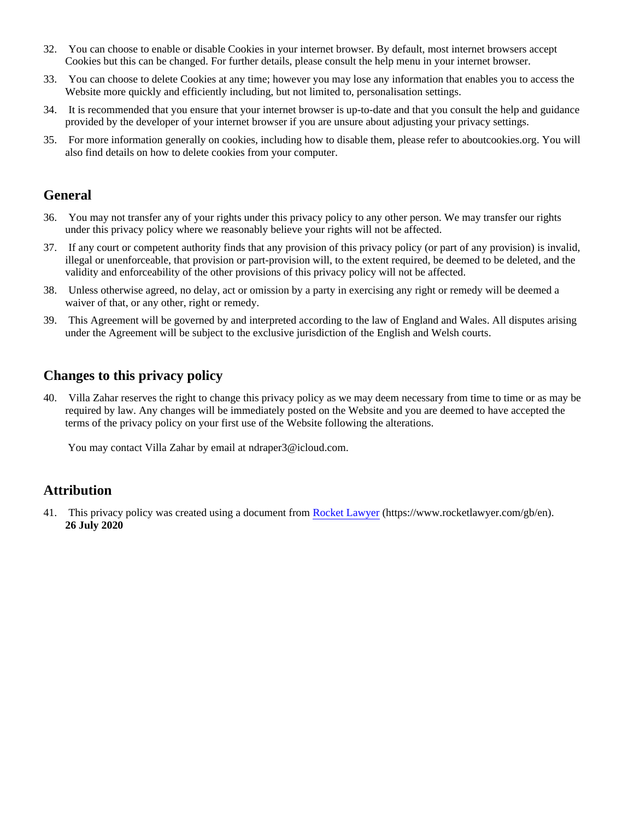- 32. You can choose to enable or disable Cookies in your internet browser. By default, most internet browsers accept Cookies but this can be changed. For further details, please consult the help menu in your internet browser.
- 33. You can choose to delete Cookies at any time; however you may lose any information that enables you to access the Website more quickly and efficiently including, but not limited to, personalisation settings.
- 34. It is recommended that you ensure that your internet browser is up-to-date and that you consult the help and guidance provided by the developer of your internet browser if you are unsure about adjusting your privacy settings.
- 35. For more information generally on cookies, including how to disable them, please refer to aboutcookies.org. You will also find details on how to delete cookies from your computer.

#### **General**

- 36. You may not transfer any of your rights under this privacy policy to any other person. We may transfer our rights under this privacy policy where we reasonably believe your rights will not be affected.
- 37. If any court or competent authority finds that any provision of this privacy policy (or part of any provision) is invalid, illegal or unenforceable, that provision or part-provision will, to the extent required, be deemed to be deleted, and the validity and enforceability of the other provisions of this privacy policy will not be affected.
- 38. Unless otherwise agreed, no delay, act or omission by a party in exercising any right or remedy will be deemed a waiver of that, or any other, right or remedy.
- 39. This Agreement will be governed by and interpreted according to the law of England and Wales. All disputes arising under the Agreement will be subject to the exclusive jurisdiction of the English and Welsh courts.

#### **Changes to this privacy policy**

40. Villa Zahar reserves the right to change this privacy policy as we may deem necessary from time to time or as may be required by law. Any changes will be immediately posted on the Website and you are deemed to have accepted the terms of the privacy policy on your first use of the Website following the alterations.

You may contact Villa Zahar by email at ndraper3@icloud.com.

#### **Attribution**

41. This privacy policy was created using a document from [Rocket Lawyer](https://www.rocketlawyer.com/gb/en/) (https://www.rocketlawyer.com/gb/en). **26 July 2020**